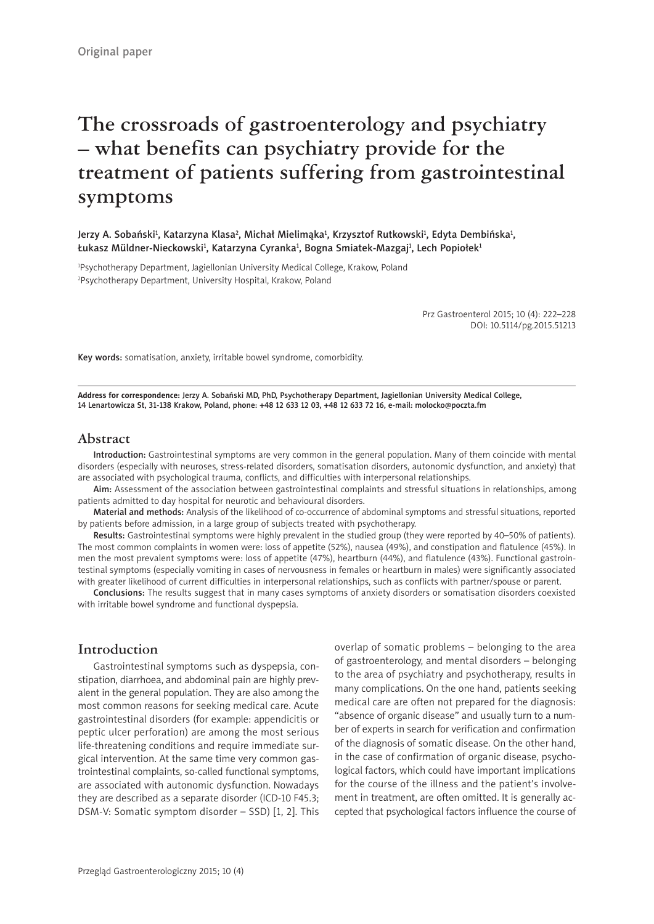# **The crossroads of gastroenterology and psychiatry – what benefits can psychiatry provide for the treatment of patients suffering from gastrointestinal symptoms**

Jerzy A. Sobański<sup>1</sup>, Katarzyna Klasa<sup>2</sup>, Michał Mielimąka<sup>1</sup>, Krzysztof Rutkowski<sup>1</sup>, Edyta Dembińska<sup>1</sup>, Łukasz Müldner-Nieckowski<sup>1</sup>, Katarzyna Cyranka<sup>1</sup>, Bogna Smiatek-Mazgaj<sup>1</sup>, Lech Popiołek<sup>1</sup>

1 Psychotherapy Department, Jagiellonian University Medical College, Krakow, Poland 2 Psychotherapy Department, University Hospital, Krakow, Poland

> Prz Gastroenterol 2015; 10 (4): 222–228 DOI: 10.5114/pg.2015.51213

Key words: somatisation, anxiety, irritable bowel syndrome, comorbidity.

**Address for correspondence:** Jerzy A. Sobański MD, PhD, Psychotherapy Department, Jagiellonian University Medical College, 14 Lenartowicza St, 31-138 Krakow, Poland, phone: +48 12 633 12 03, +48 12 633 72 16, e-mail: molocko@poczta.fm

#### **Abstract**

Introduction: Gastrointestinal symptoms are very common in the general population. Many of them coincide with mental disorders (especially with neuroses, stress-related disorders, somatisation disorders, autonomic dysfunction, and anxiety) that are associated with psychological trauma, conflicts, and difficulties with interpersonal relationships.

Aim: Assessment of the association between gastrointestinal complaints and stressful situations in relationships, among patients admitted to day hospital for neurotic and behavioural disorders.

Material and methods: Analysis of the likelihood of co-occurrence of abdominal symptoms and stressful situations, reported by patients before admission, in a large group of subjects treated with psychotherapy.

Results: Gastrointestinal symptoms were highly prevalent in the studied group (they were reported by 40–50% of patients). The most common complaints in women were: loss of appetite (52%), nausea (49%), and constipation and flatulence (45%). In men the most prevalent symptoms were: loss of appetite (47%), heartburn (44%), and flatulence (43%). Functional gastrointestinal symptoms (especially vomiting in cases of nervousness in females or heartburn in males) were significantly associated with greater likelihood of current difficulties in interpersonal relationships, such as conflicts with partner/spouse or parent.

Conclusions: The results suggest that in many cases symptoms of anxiety disorders or somatisation disorders coexisted with irritable bowel syndrome and functional dyspepsia.

#### **Introduction**

Gastrointestinal symptoms such as dyspepsia, constipation, diarrhoea, and abdominal pain are highly prevalent in the general population. They are also among the most common reasons for seeking medical care. Acute gastrointestinal disorders (for example: appendicitis or peptic ulcer perforation) are among the most serious life-threatening conditions and require immediate surgical intervention. At the same time very common gastrointestinal complaints, so-called functional symptoms, are associated with autonomic dysfunction. Nowadays they are described as a separate disorder (ICD-10 F45.3; DSM-V: Somatic symptom disorder – SSD) [1, 2]. This

overlap of somatic problems – belonging to the area of gastroenterology, and mental disorders – belonging to the area of psychiatry and psychotherapy, results in many complications. On the one hand, patients seeking medical care are often not prepared for the diagnosis: "absence of organic disease" and usually turn to a number of experts in search for verification and confirmation of the diagnosis of somatic disease. On the other hand, in the case of confirmation of organic disease, psychological factors, which could have important implications for the course of the illness and the patient's involvement in treatment, are often omitted. It is generally accepted that psychological factors influence the course of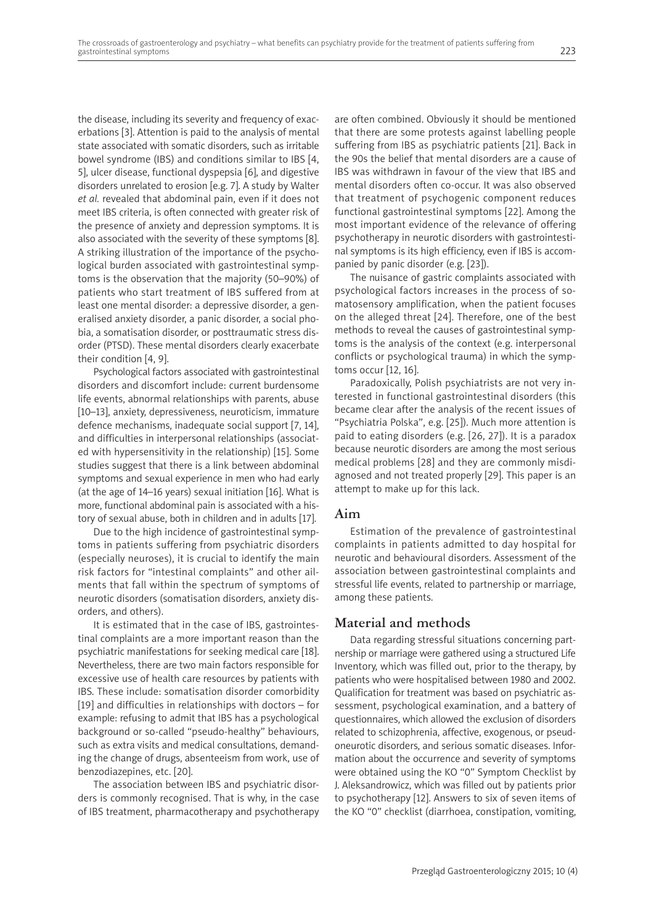the disease, including its severity and frequency of exacerbations [3]. Attention is paid to the analysis of mental state associated with somatic disorders, such as irritable bowel syndrome (IBS) and conditions similar to IBS [4, 5], ulcer disease, functional dyspepsia [6], and digestive disorders unrelated to erosion [e.g. 7]. A study by Walter *et al.* revealed that abdominal pain, even if it does not meet IBS criteria, is often connected with greater risk of the presence of anxiety and depression symptoms. It is also associated with the severity of these symptoms [8]. A striking illustration of the importance of the psychological burden associated with gastrointestinal symptoms is the observation that the majority (50–90%) of patients who start treatment of IBS suffered from at least one mental disorder: a depressive disorder, a generalised anxiety disorder, a panic disorder, a social phobia, a somatisation disorder, or posttraumatic stress disorder (PTSD). These mental disorders clearly exacerbate their condition [4, 9].

Psychological factors associated with gastrointestinal disorders and discomfort include: current burdensome life events, abnormal relationships with parents, abuse [10–13], anxiety, depressiveness, neuroticism, immature defence mechanisms, inadequate social support [7, 14], and difficulties in interpersonal relationships (associated with hypersensitivity in the relationship) [15]. Some studies suggest that there is a link between abdominal symptoms and sexual experience in men who had early (at the age of 14–16 years) sexual initiation [16]. What is more, functional abdominal pain is associated with a history of sexual abuse, both in children and in adults [17].

Due to the high incidence of gastrointestinal symptoms in patients suffering from psychiatric disorders (especially neuroses), it is crucial to identify the main risk factors for "intestinal complaints" and other ailments that fall within the spectrum of symptoms of neurotic disorders (somatisation disorders, anxiety disorders, and others).

It is estimated that in the case of IBS, gastrointestinal complaints are a more important reason than the psychiatric manifestations for seeking medical care [18]. Nevertheless, there are two main factors responsible for excessive use of health care resources by patients with IBS. These include: somatisation disorder comorbidity [19] and difficulties in relationships with doctors – for example: refusing to admit that IBS has a psychological background or so-called "pseudo-healthy" behaviours, such as extra visits and medical consultations, demanding the change of drugs, absenteeism from work, use of benzodiazepines, etc. [20].

The association between IBS and psychiatric disorders is commonly recognised. That is why, in the case of IBS treatment, pharmacotherapy and psychotherapy

are often combined. Obviously it should be mentioned that there are some protests against labelling people suffering from IBS as psychiatric patients [21]. Back in the 90s the belief that mental disorders are a cause of IBS was withdrawn in favour of the view that IBS and mental disorders often co-occur. It was also observed that treatment of psychogenic component reduces functional gastrointestinal symptoms [22]. Among the most important evidence of the relevance of offering psychotherapy in neurotic disorders with gastrointestinal symptoms is its high efficiency, even if IBS is accompanied by panic disorder (e.g. [23]).

The nuisance of gastric complaints associated with psychological factors increases in the process of somatosensory amplification, when the patient focuses on the alleged threat [24]. Therefore, one of the best methods to reveal the causes of gastrointestinal symptoms is the analysis of the context (e.g. interpersonal conflicts or psychological trauma) in which the symptoms occur [12, 16].

Paradoxically, Polish psychiatrists are not very interested in functional gastrointestinal disorders (this became clear after the analysis of the recent issues of "Psychiatria Polska", e.g. [25]). Much more attention is paid to eating disorders (e.g. [26, 27]). It is a paradox because neurotic disorders are among the most serious medical problems [28] and they are commonly misdiagnosed and not treated properly [29]. This paper is an attempt to make up for this lack.

## **Aim**

Estimation of the prevalence of gastrointestinal complaints in patients admitted to day hospital for neurotic and behavioural disorders. Assessment of the association between gastrointestinal complaints and stressful life events, related to partnership or marriage, among these patients.

## **Material and methods**

Data regarding stressful situations concerning partnership or marriage were gathered using a structured Life Inventory, which was filled out, prior to the therapy, by patients who were hospitalised between 1980 and 2002. Qualification for treatment was based on psychiatric assessment, psychological examination, and a battery of questionnaires, which allowed the exclusion of disorders related to schizophrenia, affective, exogenous, or pseudoneurotic disorders, and serious somatic diseases. Information about the occurrence and severity of symptoms were obtained using the KO "0" Symptom Checklist by J. Aleksandrowicz, which was filled out by patients prior to psychotherapy [12]. Answers to six of seven items of the KO "0" checklist (diarrhoea, constipation, vomiting,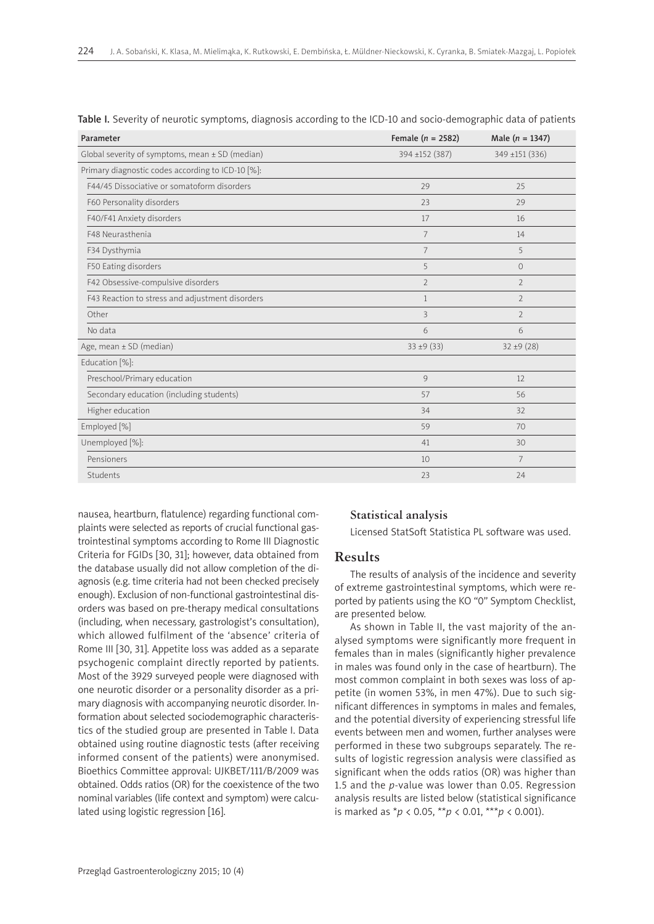| Parameter                                           | Female ( $n = 2582$ ) | Male $(n = 1347)$ |
|-----------------------------------------------------|-----------------------|-------------------|
| Global severity of symptoms, mean $\pm$ SD (median) | 394 ±152 (387)        | 349 ±151 (336)    |
| Primary diagnostic codes according to ICD-10 [%]:   |                       |                   |
| F44/45 Dissociative or somatoform disorders         | 29                    | 25                |
| F60 Personality disorders                           | 23                    | 29                |
| F40/F41 Anxiety disorders                           | 17                    | 16                |
| F48 Neurasthenia                                    | $\overline{7}$        | 14                |
| F34 Dysthymia                                       | $\overline{7}$        | 5                 |
| F50 Eating disorders                                | 5                     | $\Omega$          |
| F42 Obsessive-compulsive disorders                  | $\overline{2}$        | $\mathcal{P}$     |
| F43 Reaction to stress and adjustment disorders     | $\mathbf{1}$          | $\overline{2}$    |
| Other                                               | $\overline{3}$        | $\overline{2}$    |
| No data                                             | 6                     | 6                 |
| Age, mean $\pm$ SD (median)                         | $33 \pm 9 (33)$       | $32 \pm 9(28)$    |
| Education [%]:                                      |                       |                   |
| Preschool/Primary education                         | 9                     | 12                |
| Secondary education (including students)            | 57                    | 56                |
| Higher education                                    | 34                    | 32                |
| Employed [%]                                        | 59                    | 70                |
| Unemployed [%]:                                     | 41                    | 30                |
| Pensioners                                          | 10                    | $7\overline{ }$   |
| Students                                            | 23                    | 24                |

| Table I. Severity of neurotic symptoms, diagnosis according to the ICD-10 and socio-demographic data of patients |  |  |  |
|------------------------------------------------------------------------------------------------------------------|--|--|--|
|------------------------------------------------------------------------------------------------------------------|--|--|--|

nausea, heartburn, flatulence) regarding functional complaints were selected as reports of crucial functional gastrointestinal symptoms according to Rome III Diagnostic Criteria for FGIDs [30, 31]; however, data obtained from the database usually did not allow completion of the diagnosis (e.g. time criteria had not been checked precisely enough). Exclusion of non-functional gastrointestinal disorders was based on pre-therapy medical consultations (including, when necessary, gastrologist's consultation), which allowed fulfilment of the 'absence' criteria of Rome III [30, 31]. Appetite loss was added as a separate psychogenic complaint directly reported by patients. Most of the 3929 surveyed people were diagnosed with one neurotic disorder or a personality disorder as a primary diagnosis with accompanying neurotic disorder. Information about selected sociodemographic characteristics of the studied group are presented in Table I. Data obtained using routine diagnostic tests (after receiving informed consent of the patients) were anonymised. Bioethics Committee approval: UJKBET/111/B/2009 was obtained. Odds ratios (OR) for the coexistence of the two nominal variables (life context and symptom) were calculated using logistic regression [16].

#### **Statistical analysis**

Licensed StatSoft Statistica PL software was used.

## **Results**

The results of analysis of the incidence and severity of extreme gastrointestinal symptoms, which were reported by patients using the KO "0" Symptom Checklist, are presented below.

As shown in Table II, the vast majority of the analysed symptoms were significantly more frequent in females than in males (significantly higher prevalence in males was found only in the case of heartburn). The most common complaint in both sexes was loss of appetite (in women 53%, in men 47%). Due to such significant differences in symptoms in males and females, and the potential diversity of experiencing stressful life events between men and women, further analyses were performed in these two subgroups separately. The results of logistic regression analysis were classified as significant when the odds ratios (OR) was higher than 1.5 and the *p*-value was lower than 0.05. Regression analysis results are listed below (statistical significance is marked as \**p* < 0.05, \*\**p* < 0.01, \*\*\**p* < 0.001).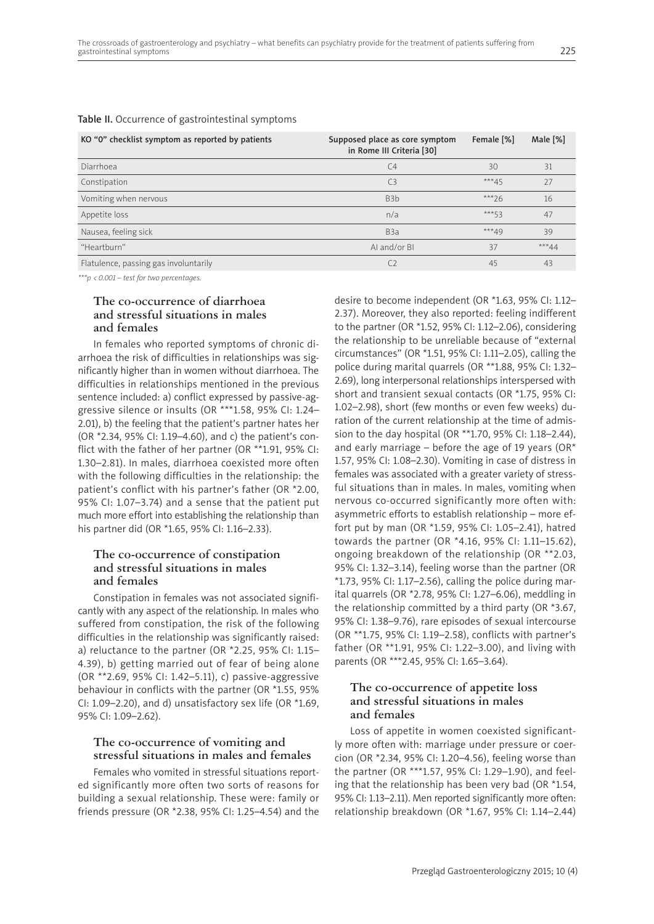#### Table II. Occurrence of gastrointestinal symptoms

| KO "0" checklist symptom as reported by patients | Supposed place as core symptom<br>in Rome III Criteria [30] | Female [%] | Male [%] |
|--------------------------------------------------|-------------------------------------------------------------|------------|----------|
| Diarrhoea                                        | C <sub>4</sub>                                              | 30         | 31       |
| Constipation                                     | C <sub>3</sub>                                              | $***45$    | 27       |
| Vomiting when nervous                            | B <sub>3</sub> b                                            | $***26$    | 16       |
| Appetite loss                                    | n/a                                                         | $***53$    | 47       |
| Nausea, feeling sick                             | B <sub>3</sub> a                                            | $***49$    | 39       |
| "Heartburn"                                      | AI and/or BI                                                | 37         | ***44    |
| Flatulence, passing gas involuntarily            | C <sub>2</sub>                                              | 45         | 43       |

*\*\*\*p < 0.001 – test for two percentages.*

#### **The co-occurrence of diarrhoea and stressful situations in males and females**

In females who reported symptoms of chronic diarrhoea the risk of difficulties in relationships was significantly higher than in women without diarrhoea. The difficulties in relationships mentioned in the previous sentence included: a) conflict expressed by passive-aggressive silence or insults (OR \*\*\*1.58, 95% CI: 1.24– 2.01), b) the feeling that the patient's partner hates her (OR \*2.34, 95% CI: 1.19–4.60), and c) the patient's conflict with the father of her partner (OR \*\*1.91, 95% CI: 1.30–2.81). In males, diarrhoea coexisted more often with the following difficulties in the relationship: the patient's conflict with his partner's father (OR \*2.00, 95% CI: 1.07–3.74) and a sense that the patient put much more effort into establishing the relationship than his partner did (OR \*1.65, 95% CI: 1.16–2.33).

#### **The co-occurrence of constipation and stressful situations in males and females**

Constipation in females was not associated significantly with any aspect of the relationship. In males who suffered from constipation, the risk of the following difficulties in the relationship was significantly raised: a) reluctance to the partner (OR \*2.25, 95% CI: 1.15– 4.39), b) getting married out of fear of being alone (OR \*\*2.69, 95% CI: 1.42–5.11), c) passive-aggressive behaviour in conflicts with the partner (OR \*1.55, 95% CI: 1.09–2.20), and d) unsatisfactory sex life (OR \*1.69, 95% CI: 1.09–2.62).

#### **The co-occurrence of vomiting and stressful situations in males and females**

Females who vomited in stressful situations reported significantly more often two sorts of reasons for building a sexual relationship. These were: family or friends pressure (OR \*2.38, 95% CI: 1.25–4.54) and the desire to become independent (OR \*1.63, 95% CI: 1.12– 2.37). Moreover, they also reported: feeling indifferent to the partner (OR \*1.52, 95% CI: 1.12–2.06), considering the relationship to be unreliable because of "external circumstances" (OR \*1.51, 95% CI: 1.11–2.05), calling the police during marital quarrels (OR \*\*1.88, 95% CI: 1.32– 2.69), long interpersonal relationships interspersed with short and transient sexual contacts (OR \*1.75, 95% CI: 1.02–2.98), short (few months or even few weeks) duration of the current relationship at the time of admission to the day hospital (OR \*\*1.70, 95% CI: 1.18–2.44), and early marriage – before the age of 19 years (OR\* 1.57, 95% CI: 1.08–2.30). Vomiting in case of distress in females was associated with a greater variety of stressful situations than in males. In males, vomiting when nervous co-occurred significantly more often with: asymmetric efforts to establish relationship – more effort put by man (OR \*1.59, 95% CI: 1.05–2.41), hatred towards the partner (OR \*4.16, 95% CI: 1.11–15.62), ongoing breakdown of the relationship (OR \*\*2.03, 95% CI: 1.32–3.14), feeling worse than the partner (OR  $*1.73$ , 95% CI: 1.17-2.56), calling the police during marital quarrels (OR \*2.78, 95% CI: 1.27–6.06), meddling in the relationship committed by a third party (OR \*3.67, 95% CI: 1.38–9.76), rare episodes of sexual intercourse (OR \*\*1.75, 95% CI: 1.19–2.58), conflicts with partner's father (OR \*\*1.91, 95% CI: 1.22–3.00), and living with parents (OR \*\*\*2.45, 95% CI: 1.65–3.64).

#### **The co-occurrence of appetite loss and stressful situations in males and females**

Loss of appetite in women coexisted significantly more often with: marriage under pressure or coercion (OR \*2.34, 95% CI: 1.20–4.56), feeling worse than the partner (OR \*\*\*1.57, 95% CI: 1.29–1.90), and feeling that the relationship has been very bad (OR \*1.54, 95% CI: 1.13–2.11). Men reported significantly more often: relationship breakdown (OR \*1.67, 95% CI: 1.14–2.44)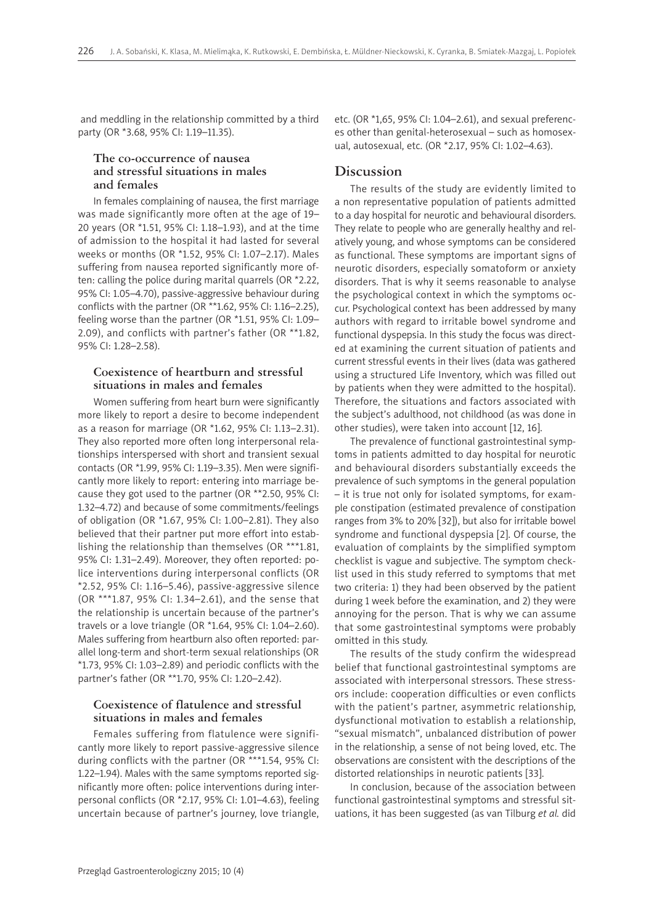and meddling in the relationship committed by a third party (OR \*3.68, 95% CI: 1.19–11.35).

#### **The co-occurrence of nausea and stressful situations in males and females**

In females complaining of nausea, the first marriage was made significantly more often at the age of 19– 20 years (OR \*1.51, 95% CI: 1.18–1.93), and at the time of admission to the hospital it had lasted for several weeks or months (OR \*1.52, 95% CI: 1.07–2.17). Males suffering from nausea reported significantly more often: calling the police during marital quarrels (OR \*2.22, 95% CI: 1.05–4.70), passive-aggressive behaviour during conflicts with the partner (OR \*\*1.62, 95% CI: 1.16–2.25), feeling worse than the partner (OR \*1.51, 95% CI: 1.09– 2.09), and conflicts with partner's father (OR \*\*1.82, 95% CI: 1.28–2.58).

#### **Coexistence of heartburn and stressful situations in males and females**

Women suffering from heart burn were significantly more likely to report a desire to become independent as a reason for marriage (OR \*1.62, 95% CI: 1.13–2.31). They also reported more often long interpersonal relationships interspersed with short and transient sexual contacts (OR \*1.99, 95% CI: 1.19–3.35). Men were significantly more likely to report: entering into marriage because they got used to the partner (OR \*\*2.50, 95% CI: 1.32–4.72) and because of some commitments/feelings of obligation (OR \*1.67, 95% CI: 1.00–2.81). They also believed that their partner put more effort into establishing the relationship than themselves (OR \*\*\*1.81, 95% CI: 1.31–2.49). Moreover, they often reported: police interventions during interpersonal conflicts (OR \*2.52, 95% CI: 1.16–5.46), passive-aggressive silence (OR \*\*\*1.87, 95% CI: 1.34–2.61), and the sense that the relationship is uncertain because of the partner's travels or a love triangle (OR \*1.64, 95% CI: 1.04–2.60). Males suffering from heartburn also often reported: parallel long-term and short-term sexual relationships (OR \*1.73, 95% CI: 1.03–2.89) and periodic conflicts with the partner's father (OR \*\*1.70, 95% CI: 1.20–2.42).

#### **Coexistence of flatulence and stressful situations in males and females**

Females suffering from flatulence were significantly more likely to report passive-aggressive silence during conflicts with the partner (OR \*\*\*1.54, 95% CI: 1.22–1.94). Males with the same symptoms reported significantly more often: police interventions during interpersonal conflicts (OR \*2.17, 95% CI: 1.01–4.63), feeling uncertain because of partner's journey, love triangle, etc. (OR \*1,65, 95% CI: 1.04–2.61), and sexual preferences other than genital-heterosexual – such as homosexual, autosexual, etc. (OR \*2.17, 95% CI: 1.02–4.63).

#### **Discussion**

The results of the study are evidently limited to a non representative population of patients admitted to a day hospital for neurotic and behavioural disorders. They relate to people who are generally healthy and relatively young, and whose symptoms can be considered as functional. These symptoms are important signs of neurotic disorders, especially somatoform or anxiety disorders. That is why it seems reasonable to analyse the psychological context in which the symptoms occur. Psychological context has been addressed by many authors with regard to irritable bowel syndrome and functional dyspepsia. In this study the focus was directed at examining the current situation of patients and current stressful events in their lives (data was gathered using a structured Life Inventory, which was filled out by patients when they were admitted to the hospital). Therefore, the situations and factors associated with the subject's adulthood, not childhood (as was done in other studies), were taken into account [12, 16].

The prevalence of functional gastrointestinal symptoms in patients admitted to day hospital for neurotic and behavioural disorders substantially exceeds the prevalence of such symptoms in the general population – it is true not only for isolated symptoms, for example constipation (estimated prevalence of constipation ranges from 3% to 20% [32]), but also for irritable bowel syndrome and functional dyspepsia [2]. Of course, the evaluation of complaints by the simplified symptom checklist is vague and subjective. The symptom checklist used in this study referred to symptoms that met two criteria: 1) they had been observed by the patient during 1 week before the examination, and 2) they were annoying for the person. That is why we can assume that some gastrointestinal symptoms were probably omitted in this study.

The results of the study confirm the widespread belief that functional gastrointestinal symptoms are associated with interpersonal stressors. These stressors include: cooperation difficulties or even conflicts with the patient's partner, asymmetric relationship, dysfunctional motivation to establish a relationship, "sexual mismatch", unbalanced distribution of power in the relationship, a sense of not being loved, etc. The observations are consistent with the descriptions of the distorted relationships in neurotic patients [33].

In conclusion, because of the association between functional gastrointestinal symptoms and stressful situations, it has been suggested (as van Tilburg *et al.* did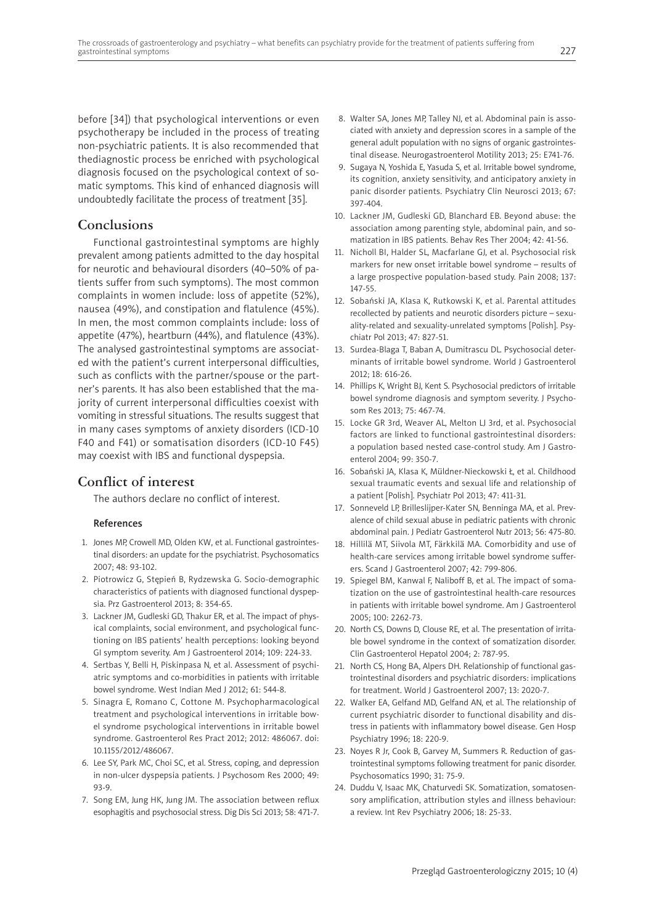before [34]) that psychological interventions or even psychotherapy be included in the process of treating non-psychiatric patients. It is also recommended that thediagnostic process be enriched with psychological diagnosis focused on the psychological context of somatic symptoms. This kind of enhanced diagnosis will undoubtedly facilitate the process of treatment [35].

# **Conclusions**

Functional gastrointestinal symptoms are highly prevalent among patients admitted to the day hospital for neurotic and behavioural disorders (40–50% of patients suffer from such symptoms). The most common complaints in women include: loss of appetite (52%), nausea (49%), and constipation and flatulence (45%). In men, the most common complaints include: loss of appetite (47%), heartburn (44%), and flatulence (43%). The analysed gastrointestinal symptoms are associated with the patient's current interpersonal difficulties, such as conflicts with the partner/spouse or the partner's parents. It has also been established that the majority of current interpersonal difficulties coexist with vomiting in stressful situations. The results suggest that in many cases symptoms of anxiety disorders (ICD-10 F40 and F41) or somatisation disorders (ICD-10 F45) may coexist with IBS and functional dyspepsia.

## **Conflict of interest**

The authors declare no conflict of interest.

#### References

- 1. Jones MP, Crowell MD, Olden KW, et al. Functional gastrointestinal disorders: an update for the psychiatrist. Psychosomatics 2007; 48: 93-102.
- 2. Piotrowicz G, Stępień B, Rydzewska G. Socio-demographic characteristics of patients with diagnosed functional dyspepsia. Prz Gastroenterol 2013; 8: 354-65.
- 3. Lackner JM, Gudleski GD, Thakur ER, et al. The impact of physical complaints, social environment, and psychological functioning on IBS patients' health perceptions: looking beyond GI symptom severity. Am J Gastroenterol 2014; 109: 224-33.
- 4. Sertbas Y, Belli H, Piskinpasa N, et al. Assessment of psychiatric symptoms and co-morbidities in patients with irritable bowel syndrome. West Indian Med J 2012; 61: 544-8.
- 5. Sinagra E, Romano C, Cottone M. Psychopharmacological treatment and psychological interventions in irritable bowel syndrome psychological interventions in irritable bowel syndrome. Gastroenterol Res Pract 2012; 2012: 486067. doi: 10.1155/2012/486067.
- 6. Lee SY, Park MC, Choi SC, et al. Stress, coping, and depression in non-ulcer dyspepsia patients. J Psychosom Res 2000; 49: 93-9.
- 7. Song EM, Jung HK, Jung JM. The association between reflux esophagitis and psychosocial stress. Dig Dis Sci 2013; 58: 471-7.
- 8. Walter SA, Jones MP, Talley NJ, et al. Abdominal pain is associated with anxiety and depression scores in a sample of the general adult population with no signs of organic gastrointestinal disease. Neurogastroenterol Motility 2013; 25: E741-76.
- 9. Sugaya N, Yoshida E, Yasuda S, et al. Irritable bowel syndrome, its cognition, anxiety sensitivity, and anticipatory anxiety in panic disorder patients. Psychiatry Clin Neurosci 2013; 67: 397-404.
- 10. Lackner JM, Gudleski GD, Blanchard EB. Beyond abuse: the association among parenting style, abdominal pain, and somatization in IBS patients. Behav Res Ther 2004; 42: 41-56.
- 11. Nicholl BI, Halder SL, Macfarlane GJ, et al. Psychosocial risk markers for new onset irritable bowel syndrome – results of a large prospective population-based study. Pain 2008; 137: 147-55.
- 12. Sobański JA, Klasa K, Rutkowski K, et al. Parental attitudes recollected by patients and neurotic disorders picture – sexuality-related and sexuality-unrelated symptoms [Polish]. Psychiatr Pol 2013; 47: 827-51.
- 13. Surdea-Blaga T, Baban A, Dumitrascu DL. Psychosocial determinants of irritable bowel syndrome. World J Gastroenterol 2012; 18: 616-26.
- 14. Phillips K, Wright BJ, Kent S. Psychosocial predictors of irritable bowel syndrome diagnosis and symptom severity. J Psychosom Res 2013; 75: 467-74.
- 15. Locke GR 3rd, Weaver AL, Melton LJ 3rd, et al. Psychosocial factors are linked to functional gastrointestinal disorders: a population based nested case-control study. Am J Gastroenterol 2004; 99: 350-7.
- 16. Sobański JA, Klasa K, Müldner-Nieckowski Ł, et al. Childhood sexual traumatic events and sexual life and relationship of a patient [Polish]. Psychiatr Pol 2013; 47: 411-31.
- 17. Sonneveld LP, Brilleslijper-Kater SN, Benninga MA, et al. Prevalence of child sexual abuse in pediatric patients with chronic abdominal pain. J Pediatr Gastroenterol Nutr 2013; 56: 475-80.
- 18. Hillilä MT, Siivola MT, Färkkilä MA. Comorbidity and use of health-care services among irritable bowel syndrome sufferers. Scand J Gastroenterol 2007; 42: 799-806.
- 19. Spiegel BM, Kanwal F, Naliboff B, et al. The impact of somatization on the use of gastrointestinal health-care resources in patients with irritable bowel syndrome. Am J Gastroenterol 2005; 100: 2262-73.
- 20. North CS, Downs D, Clouse RE, et al. The presentation of irritable bowel syndrome in the context of somatization disorder. Clin Gastroenterol Hepatol 2004; 2: 787-95.
- 21. North CS, Hong BA, Alpers DH. Relationship of functional gastrointestinal disorders and psychiatric disorders: implications for treatment. World J Gastroenterol 2007; 13: 2020-7.
- 22. Walker EA, Gelfand MD, Gelfand AN, et al. The relationship of current psychiatric disorder to functional disability and distress in patients with inflammatory bowel disease. Gen Hosp Psychiatry 1996; 18: 220-9.
- 23. Noyes R Jr, Cook B, Garvey M, Summers R. Reduction of gastrointestinal symptoms following treatment for panic disorder. Psychosomatics 1990; 31: 75-9.
- 24. Duddu V, Isaac MK, Chaturvedi SK. Somatization, somatosensory amplification, attribution styles and illness behaviour: a review. Int Rev Psychiatry 2006; 18: 25-33.